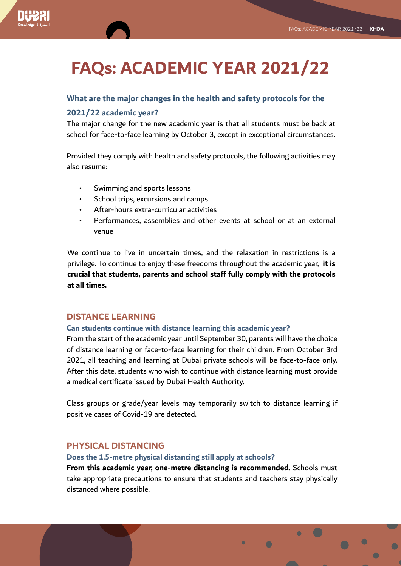# **FAQs: ACADEMIC YEAR 2021/22**

## **What are the major changes in the health and safety protocols for the**

## **2021/22 academic year?**

The major change for the new academic year is that all students must be back at school for face-to-face learning by October 3, except in exceptional circumstances.

Provided they comply with health and safety protocols, the following activities may also resume:

- Swimming and sports lessons
- School trips, excursions and camps
- After-hours extra-curricular activities
- Performances, assemblies and other events at school or at an external venue

We continue to live in uncertain times, and the relaxation in restrictions is a privilege. To continue to enjoy these freedoms throughout the academic year, **it is crucial that students, parents and school staff fully comply with the protocols at all times.**

## **DISTANCE LEARNING**

### **Can students continue with distance learning this academic year?**

From the start of the academic year until September 30, parents will have the choice of distance learning or face-to-face learning for their children. From October 3rd 2021, all teaching and learning at Dubai private schools will be face-to-face only. After this date, students who wish to continue with distance learning must provide a medical certificate issued by Dubai Health Authority.

Class groups or grade/year levels may temporarily switch to distance learning if positive cases of Covid-19 are detected.

## **PHYSICAL DISTANCING**

#### **Does the 1.5-metre physical distancing still apply at schools?**

**From this academic year, one-metre distancing is recommended.** Schools must take appropriate precautions to ensure that students and teachers stay physically distanced where possible.

 $\bullet$